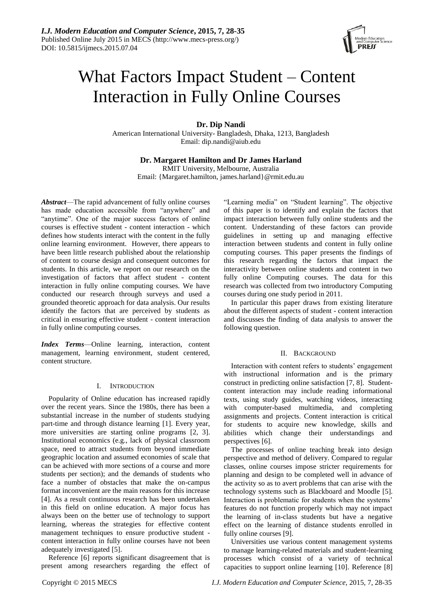

# What Factors Impact Student – Content Interaction in Fully Online Courses

**Dr. Dip Nandi**

American International University- Bangladesh, Dhaka, 1213, Bangladesh Email: dip.nandi@aiub.edu

## **Dr. Margaret Hamilton and Dr James Harland**

RMIT University, Melbourne, Australia Email: {Margaret.hamilton, james.harland}@rmit.edu.au

*Abstract*—The rapid advancement of fully online courses has made education accessible from "anywhere" and "anytime". One of the major success factors of online courses is effective student - content interaction - which defines how students interact with the content in the fully online learning environment. However, there appears to have been little research published about the relationship of content to course design and consequent outcomes for students. In this article, we report on our research on the investigation of factors that affect student - content interaction in fully online computing courses. We have conducted our research through surveys and used a grounded theoretic approach for data analysis. Our results identify the factors that are perceived by students as critical in ensuring effective student - content interaction in fully online computing courses.

*Index Terms*—Online learning, interaction, content management, learning environment, student centered, content structure.

## I. INTRODUCTION

Popularity of Online education has increased rapidly over the recent years. Since the 1980s, there has been a substantial increase in the number of students studying part-time and through distance learning [1]. Every year, more universities are starting online programs [2, 3]. Institutional economics (e.g., lack of physical classroom space, need to attract students from beyond immediate geographic location and assumed economies of scale that can be achieved with more sections of a course and more students per section); and the demands of students who face a number of obstacles that make the on-campus format inconvenient are the main reasons for this increase [4]. As a result continuous research has been undertaken in this field on online education. A major focus has always been on the better use of technology to support learning, whereas the strategies for effective content management techniques to ensure productive student content interaction in fully online courses have not been adequately investigated [5].

Reference [6] reports significant disagreement that is present among researchers regarding the effect of "Learning media" on "Student learning". The objective of this paper is to identify and explain the factors that impact interaction between fully online students and the content. Understanding of these factors can provide guidelines in setting up and managing effective interaction between students and content in fully online computing courses. This paper presents the findings of this research regarding the factors that impact the interactivity between online students and content in two fully online Computing courses. The data for this research was collected from two introductory Computing courses during one study period in 2011.

In particular this paper draws from existing literature about the different aspects of student - content interaction and discusses the finding of data analysis to answer the following question.

## II. BACKGROUND

Interaction with content refers to students' engagement with instructional information and is the primary construct in predicting online satisfaction [7, 8]. Studentcontent interaction may include reading informational texts, using study guides, watching videos, interacting with computer-based multimedia, and completing assignments and projects. Content interaction is critical for students to acquire new knowledge, skills and abilities which change their understandings and perspectives [6].

The processes of online teaching break into design perspective and method of delivery. Compared to regular classes, online courses impose stricter requirements for planning and design to be completed well in advance of the activity so as to avert problems that can arise with the technology systems such as Blackboard and Moodle [5]. Interaction is problematic for students when the systems' features do not function properly which may not impact the learning of in-class students but have a negative effect on the learning of distance students enrolled in fully online courses [9].

Universities use various content management systems to manage learning-related materials and student-learning processes which consist of a variety of technical capacities to support online learning [10]. Reference [8]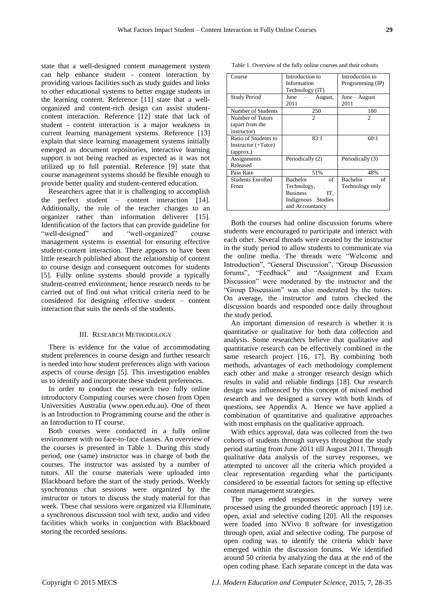state that a well-designed content management system can help enhance student - content interaction by providing various facilities such as study guides and links to other educational systems to better engage students in the learning content. Reference [11] state that a wellorganized and content-rich design can assist studentcontent interaction. Reference [12] state that lack of student - content interaction is a major weakness in current learning management systems. Reference [13] explain that since learning management systems initially emerged as document repositories, interactive learning support is not being reached as expected as it was not utilized up to full potential. Reference [9] state that course management systems should be flexible enough to provide better quality and student-centered education.

Researchers agree that it is challenging to accomplish the perfect student – content interaction [14]. Additionally, the role of the teacher changes to an organizer rather than information deliverer [15]. Identification of the factors that can provide guideline for "well-designed" and "well-organized" course management systems is essential for ensuring effective student-content interaction. There appears to have been little research published about the relationship of content to course design and consequent outcomes for students [5]. Fully online systems should provide a typically student-centred environment; hence research needs to be carried out of find out what critical criteria need to be considered for designing effective student – content interaction that suits the needs of the students.

#### III. RESEARCH METHODOLOGY

There is evidence for the value of accommodating student preferences in course design and further research is needed into how student preferences align with various aspects of course design [5]. This investigation enables us to identify and incorporate these student preferences.

In order to conduct the research two fully online introductory Computing courses were chosen from Open Universities Australia [\(www.open.edu.au\)](http://www.open.edu.au/). One of them is an Introduction to Programming course and the other is an Introduction to IT course.

Both courses were conducted in a fully online environment with no face-to-face classes. An overview of the courses is presented in Table 1. During this study period, one (same) instructor was in charge of both the courses. The instructor was assisted by a number of tutors. All the course materials were uploaded into Blackboard before the start of the study periods. Weekly synchronous chat sessions were organized by the instructor or tutors to discuss the study material for that week. These chat sessions were organized via Elluminate, a synchronous discussion tool with text, audio and video facilities which works in conjunction with Blackboard storing the recorded sessions.

Table 1. Overview of the fully online courses and their cohorts

| Course                                                   | Introduction to<br>Information<br>Technology (IT)                                                       | Introduction to<br>Programming (IP)      |  |
|----------------------------------------------------------|---------------------------------------------------------------------------------------------------------|------------------------------------------|--|
| <b>Study Period</b>                                      | June<br>August,<br>2011                                                                                 | June – August<br>2011                    |  |
| Number of Students                                       | 250                                                                                                     | 180                                      |  |
| Number of Tutors<br>(apart from the<br>instructor)       | 2                                                                                                       | $\overline{c}$                           |  |
| Ratio of Students to<br>Instructor (+Tutor)<br>(approx.) | 83:1                                                                                                    | 60:1                                     |  |
| Assignments<br>Released                                  | Periodically (2)                                                                                        | Periodically (3)                         |  |
| Pass Rate                                                | 51%                                                                                                     | 48%                                      |  |
| <b>Students Enrolled</b><br>From                         | <b>Bachelor</b><br>of<br>Technology,<br><b>Business</b><br>IT.<br>Indigenous Studies<br>and Accountancy | of<br><b>Bachelor</b><br>Technology only |  |

Both the courses had online discussion forums where students were encouraged to participate and interact with each other. Several threads were created by the instructor in the study period to allow students to communicate via the online media. The threads were "Welcome and Introduction", "General Discussion", "Group Discussion forums", "Feedback" and "Assignment and Exam Discussion" were moderated by the instructor and the "Group Discussion" was also moderated by the tutors. On average, the instructor and tutors checked the discussion boards and responded once daily throughout the study period.

An important dimension of research is whether it is quantitative or qualitative for both data collection and analysis. Some researchers believe that qualitative and quantitative research can be effectively combined in the same research project [16, 17]. By combining both methods, advantages of each methodology complement each other and make a stronger research design which results in valid and reliable findings [18]. Our research design was influenced by this concept of mixed method research and we designed a survey with both kinds of questions, see Appendix A. Hence we have applied a combination of quantitative and qualitative approaches with most emphasis on the qualitative approach.

With ethics approval, data was collected from the two cohorts of students through surveys throughout the study period starting from June 2011 till August 2011. Through qualitative data analysis of the survey responses, we attempted to uncover all the criteria which provided a clear representation regarding what the participants considered to be essential factors for setting up effective content management strategies.

The open ended responses in the survey were processed using the grounded theoretic approach [19] i.e. open, axial and selective coding [20]. All the responses were loaded into NVivo 8 software for investigation through open, axial and selective coding. The purpose of open coding was to identify the criteria which have emerged within the discussion forums. We identified around 50 criteria by analyzing the data at the end of the open coding phase. Each separate concept in the data was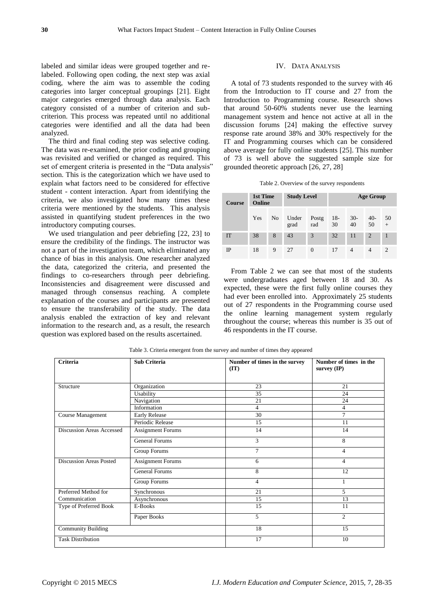labeled and similar ideas were grouped together and relabeled. Following open coding, the next step was axial coding, where the aim was to assemble the coding categories into larger conceptual groupings [21]. Eight major categories emerged through data analysis. Each category consisted of a number of criterion and subcriterion. This process was repeated until no additional categories were identified and all the data had been analyzed.

The third and final coding step was selective coding. The data was re-examined, the prior coding and grouping was revisited and verified or changed as required. This set of emergent criteria is presented in the "Data analysis" section. This is the categorization which we have used to explain what factors need to be considered for effective student - content interaction. Apart from identifying the criteria, we also investigated how many times these criteria were mentioned by the students. This analysis assisted in quantifying student preferences in the two introductory computing courses.

We used triangulation and peer debriefing [22, 23] to ensure the credibility of the findings. The instructor was not a part of the investigation team, which eliminated any chance of bias in this analysis. One researcher analyzed the data, categorized the criteria, and presented the findings to co-researchers through peer debriefing. Inconsistencies and disagreement were discussed and managed through consensus reaching. A complete explanation of the courses and participants are presented to ensure the transferability of the study. The data analysis enabled the extraction of key and relevant information to the research and, as a result, the research question was explored based on the results ascertained.

#### IV. DATA ANALYSIS

A total of 73 students responded to the survey with 46 from the Introduction to IT course and 27 from the Introduction to Programming course. Research shows that around 50-60% students never use the learning management system and hence not active at all in the discussion forums [24] making the effective survey response rate around 38% and 30% respectively for the IT and Programming courses which can be considered above average for fully online students [25]. This number of 73 is well above the suggested sample size for grounded theoretic approach [26, 27, 28]

|  |  |  |  | Table 2. Overview of the survey respondents |
|--|--|--|--|---------------------------------------------|
|--|--|--|--|---------------------------------------------|

| <b>Course</b> | 1st Time<br>Online |                | <b>Study Level</b> |              | <b>Age Group</b> |             |                |                             |
|---------------|--------------------|----------------|--------------------|--------------|------------------|-------------|----------------|-----------------------------|
|               | Yes                | N <sub>0</sub> | Under<br>grad      | Postg<br>rad | $18-$<br>30      | $30-$<br>40 | $40-$<br>50    | 50<br>$\ddot{}$             |
| <b>IT</b>     | 38                 | 8              | 43                 | 3            | 32               | 11          | $\overline{2}$ |                             |
| IP            | 18                 | 9              | 27                 | $\theta$     | 17               | 4           | $\overline{4}$ | $\mathcal{D}_{\mathcal{A}}$ |

From Table 2 we can see that most of the students were undergraduates aged between 18 and 30. As expected, these were the first fully online courses they had ever been enrolled into. Approximately 25 students out of 27 respondents in the Programming course used the online learning management system regularly throughout the course; whereas this number is 35 out of 46 respondents in the IT course.

| <b>Criteria</b>                  | <b>Sub Criteria</b>      | Number of times in the survey<br>(TT) | Number of times in the<br>survey (IP) |
|----------------------------------|--------------------------|---------------------------------------|---------------------------------------|
| Structure                        | Organization             | 23                                    | 21                                    |
|                                  | Usability                | 35                                    | 24                                    |
|                                  | Navigation               | 21                                    | 24                                    |
|                                  | Information              | $\overline{4}$                        | 4                                     |
| Course Management                | <b>Early Release</b>     | 30                                    | $\overline{7}$                        |
|                                  | Periodic Release         | 15                                    | 11                                    |
| <b>Discussion Areas Accessed</b> | Assignment Forums        | 14                                    | 14                                    |
|                                  | <b>General Forums</b>    | 3                                     | 8                                     |
|                                  | <b>Group Forums</b>      | $\tau$                                | $\overline{4}$                        |
| <b>Discussion Areas Posted</b>   | <b>Assignment Forums</b> | 6                                     | $\overline{4}$                        |
|                                  | <b>General Forums</b>    | 8                                     | 12                                    |
|                                  | Group Forums             | 4                                     |                                       |
| Preferred Method for             | Synchronous              | 21                                    | 5                                     |
| Communication                    | Asynchronous             | 15                                    | 13                                    |
| Type of Preferred Book           | E-Books                  | 15                                    | 11                                    |
|                                  | Paper Books              | 5                                     | $\overline{2}$                        |
| <b>Community Building</b>        |                          | 18                                    | 15                                    |
| <b>Task Distribution</b>         |                          | 17                                    | 10                                    |

Table 3. Criteria emergent from the survey and number of times they appeared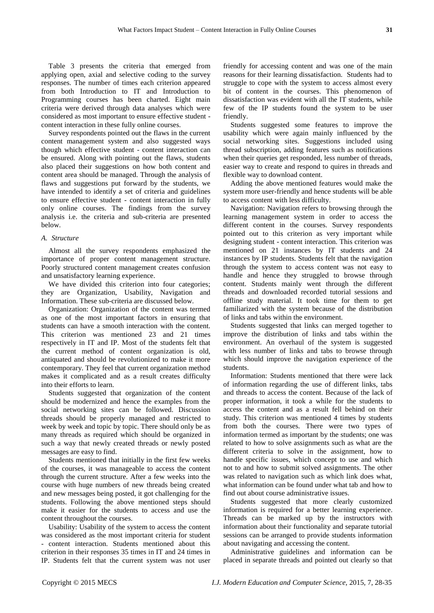Table 3 presents the criteria that emerged from applying open, axial and selective coding to the survey responses. The number of times each criterion appeared from both Introduction to IT and Introduction to Programming courses has been charted. Eight main criteria were derived through data analyses which were considered as most important to ensure effective student content interaction in these fully online courses.

Survey respondents pointed out the flaws in the current content management system and also suggested ways though which effective student - content interaction can be ensured. Along with pointing out the flaws, students also placed their suggestions on how both content and content area should be managed. Through the analysis of flaws and suggestions put forward by the students, we have intended to identify a set of criteria and guidelines to ensure effective student - content interaction in fully only online courses. The findings from the survey analysis i.e. the criteria and sub-criteria are presented below.

## *A. Structure*

Almost all the survey respondents emphasized the importance of proper content management structure. Poorly structured content management creates confusion and unsatisfactory learning experience.

We have divided this criterion into four categories; they are Organization, Usability, Navigation and Information. These sub-criteria are discussed below.

Organization: Organization of the content was termed as one of the most important factors in ensuring that students can have a smooth interaction with the content. This criterion was mentioned 23 and 21 times respectively in IT and IP. Most of the students felt that the current method of content organization is old, antiquated and should be revolutionized to make it more contemporary. They feel that current organization method makes it complicated and as a result creates difficulty into their efforts to learn.

Students suggested that organization of the content should be modernized and hence the examples from the social networking sites can be followed. Discussion threads should be properly managed and restricted to week by week and topic by topic. There should only be as many threads as required which should be organized in such a way that newly created threads or newly posted messages are easy to find.

Students mentioned that initially in the first few weeks of the courses, it was manageable to access the content through the current structure. After a few weeks into the course with huge numbers of new threads being created and new messages being posted, it got challenging for the students. Following the above mentioned steps should make it easier for the students to access and use the content throughout the courses.

Usability: Usability of the system to access the content was considered as the most important criteria for student - content interaction. Students mentioned about this criterion in their responses 35 times in IT and 24 times in IP. Students felt that the current system was not user

friendly for accessing content and was one of the main reasons for their learning dissatisfaction. Students had to struggle to cope with the system to access almost every bit of content in the courses. This phenomenon of dissatisfaction was evident with all the IT students, while few of the IP students found the system to be user friendly.

Students suggested some features to improve the usability which were again mainly influenced by the social networking sites. Suggestions included using thread subscription, adding features such as notifications when their queries get responded, less number of threads, easier way to create and respond to quires in threads and flexible way to download content.

Adding the above mentioned features would make the system more user-friendly and hence students will be able to access content with less difficulty.

Navigation: Navigation refers to browsing through the learning management system in order to access the different content in the courses. Survey respondents pointed out to this criterion as very important while designing student - content interaction. This criterion was mentioned on 21 instances by IT students and 24 instances by IP students. Students felt that the navigation through the system to access content was not easy to handle and hence they struggled to browse through content. Students mainly went through the different threads and downloaded recorded tutorial sessions and offline study material. It took time for them to get familiarized with the system because of the distribution of links and tabs within the environment.

Students suggested that links can merged together to improve the distribution of links and tabs within the environment. An overhaul of the system is suggested with less number of links and tabs to browse through which should improve the navigation experience of the students.

Information: Students mentioned that there were lack of information regarding the use of different links, tabs and threads to access the content. Because of the lack of proper information, it took a while for the students to access the content and as a result fell behind on their study. This criterion was mentioned 4 times by students from both the courses. There were two types of information termed as important by the students; one was related to how to solve assignments such as what are the different criteria to solve in the assignment, how to handle specific issues, which concept to use and which not to and how to submit solved assignments. The other was related to navigation such as which link does what, what information can be found under what tab and how to find out about course administrative issues.

Students suggested that more clearly customized information is required for a better learning experience. Threads can be marked up by the instructors with information about their functionality and separate tutorial sessions can be arranged to provide students information about navigating and accessing the content.

Administrative guidelines and information can be placed in separate threads and pointed out clearly so that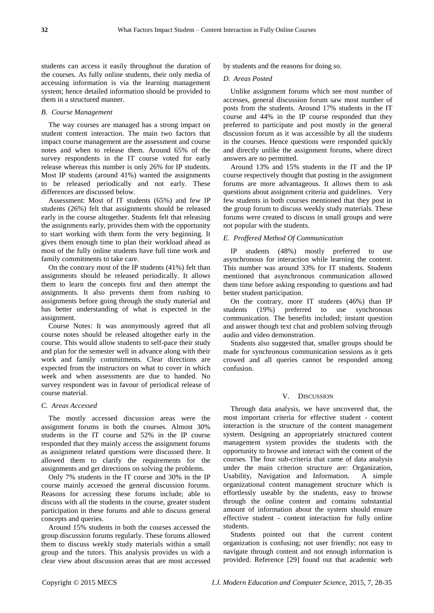students can access it easily throughout the duration of the courses. As fully online students, their only media of accessing information is via the learning management system; hence detailed information should be provided to them in a structured manner.

## *B. Course Management*

The way courses are managed has a strong impact on student content interaction. The main two factors that impact course management are the assessment and course notes and when to release them. Around 65% of the survey respondents in the IT course voted for early release whereas this number is only 26% for IP students. Most IP students (around 41%) wanted the assignments to be released periodically and not early. These differences are discussed below.

Assessment: Most of IT students (65%) and few IP students (26%) felt that assignments should be released early in the course altogether. Students felt that releasing the assignments early, provides them with the opportunity to start working with them form the very beginning. It gives them enough time to plan their workload ahead as most of the fully online students have full time work and family commitments to take care.

On the contrary most of the IP students (41%) felt than assignments should be released periodically. It allows them to learn the concepts first and then attempt the assignments. It also prevents them from rushing to assignments before going through the study material and has better understanding of what is expected in the assignment.

Course Notes: It was anonymously agreed that all course notes should be released altogether early in the course. This would allow students to self-pace their study and plan for the semester well in advance along with their work and family commitments. Clear directions are expected from the instructors on what to cover in which week and when assessments are due to handed. No survey respondent was in favour of periodical release of course material.

## *C. Areas Accessed*

The mostly accessed discussion areas were the assignment forums in both the courses. Almost 30% students in the IT course and 52% in the IP course responded that they mainly access the assignment forums as assignment related questions were discussed there. It allowed them to clarify the requirements for the assignments and get directions on solving the problems.

Only 7% students in the IT course and 30% in the IP course mainly accessed the general discussion forums. Reasons for accessing these forums include; able to discuss with all the students in the course, greater student participation in these forums and able to discuss general concepts and queries.

Around 15% students in both the courses accessed the group discussion forums regularly. These forums allowed them to discuss weekly study materials within a small group and the tutors. This analysis provides us with a clear view about discussion areas that are most accessed by students and the reasons for doing so.

## *D. Areas Posted*

Unlike assignment forums which see most number of accesses, general discussion forum saw most number of posts from the students. Around 17% students in the IT course and 44% in the IP course responded that they preferred to participate and post mostly in the general discussion forum as it was accessible by all the students in the courses. Hence questions were responded quickly and directly unlike the assignment forums, where direct answers are no permitted.

Around 13% and 15% students in the IT and the IP course respectively thought that posting in the assignment forums are more advantageous. It allows them to ask questions about assignment criteria and guidelines. Very few students in both courses mentioned that they post in the group forum to discuss weekly study materials. These forums were created to discuss in small groups and were not popular with the students.

## *E. Proffered Method Of Communication*

IP students (48%) mostly preferred to use asynchronous for interaction while learning the content. This number was around 33% for IT students. Students mentioned that asynchronous communication allowed them time before asking responding to questions and had better student participation.

On the contrary, more IT students (46%) than IP students (19%) preferred to use synchronous communication. The benefits included; instant question and answer though text chat and problem solving through audio and video demonstration.

Students also suggested that, smaller groups should be made for synchronous communication sessions as it gets crowed and all queries cannot be responded among confusion.

## V. DISCUSSION

Through data analysis, we have uncovered that, the most important criteria for effective student - content interaction is the structure of the content management system. Designing an appropriately structured content management system provides the students with the opportunity to browse and interact with the content of the courses. The four sub-criteria that came of data analysis under the main criterion structure are: Organization, Usability, Navigation and Information. A simple organizational content management structure which is effortlessly useable by the students, easy to browse through the online content and contains substantial amount of information about the system should ensure effective student - content interaction for fully online students.

Students pointed out that the current content organization is confusing; not user friendly; not easy to navigate through content and not enough information is provided. Reference [29] found out that academic web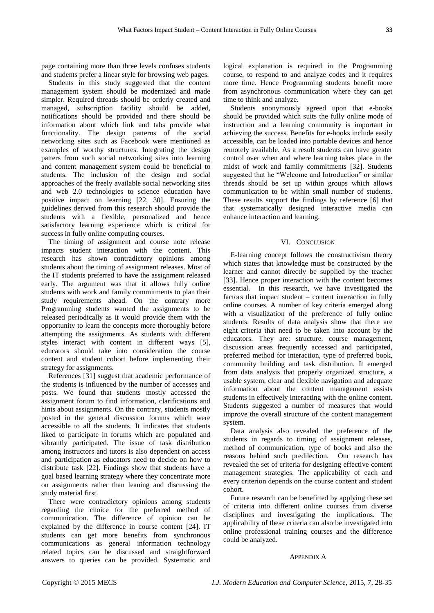page containing more than three levels confuses students and students prefer a linear style for browsing web pages.

Students in this study suggested that the content management system should be modernized and made simpler. Required threads should be orderly created and managed, subscription facility should be added, notifications should be provided and there should be information about which link and tabs provide what functionality. The design patterns of the social networking sites such as Facebook were mentioned as examples of worthy structures. Integrating the design patters from such social networking sites into learning and content management system could be beneficial to students. The inclusion of the design and social approaches of the freely available social networking sites and web 2.0 technologies to science education have positive impact on learning [22, 30]. Ensuring the guidelines derived from this research should provide the students with a flexible, personalized and hence satisfactory learning experience which is critical for success in fully online computing courses.

The timing of assignment and course note release impacts student interaction with the content. This research has shown contradictory opinions among students about the timing of assignment releases. Most of the IT students preferred to have the assignment released early. The argument was that it allows fully online students with work and family commitments to plan their study requirements ahead. On the contrary more Programming students wanted the assignments to be released periodically as it would provide them with the opportunity to learn the concepts more thoroughly before attempting the assignments. As students with different styles interact with content in different ways [5], educators should take into consideration the course content and student cohort before implementing their strategy for assignments.

References [31] suggest that academic performance of the students is influenced by the number of accesses and posts. We found that students mostly accessed the assignment forum to find information, clarifications and hints about assignments. On the contrary, students mostly posted in the general discussion forums which were accessible to all the students. It indicates that students liked to participate in forums which are populated and vibrantly participated. The issue of task distribution among instructors and tutors is also dependent on access and participation as educators need to decide on how to distribute task [22]. Findings show that students have a goal based learning strategy where they concentrate more on assignments rather than leaning and discussing the study material first.

There were contradictory opinions among students regarding the choice for the preferred method of communication. The difference of opinion can be explained by the difference in course content [24]. IT students can get more benefits from synchronous communications as general information technology related topics can be discussed and straightforward answers to queries can be provided. Systematic and logical explanation is required in the Programming course, to respond to and analyze codes and it requires more time. Hence Programming students benefit more from asynchronous communication where they can get time to think and analyze.

Students anonymously agreed upon that e-books should be provided which suits the fully online mode of instruction and a learning community is important in achieving the success. Benefits for e-books include easily accessible, can be loaded into portable devices and hence remotely available. As a result students can have greater control over when and where learning takes place in the midst of work and family commitments [32]. Students suggested that he "Welcome and Introduction" or similar threads should be set up within groups which allows communication to be within small number of students. These results support the findings by reference [6] that that systematically designed interactive media can enhance interaction and learning.

#### VI. CONCLUSION

E-learning concept follows the constructivism theory which states that knowledge must be constructed by the learner and cannot directly be supplied by the teacher [33]. Hence proper interaction with the content becomes essential. In this research, we have investigated the factors that impact student – content interaction in fully online courses. A number of key criteria emerged along with a visualization of the preference of fully online students. Results of data analysis show that there are eight criteria that need to be taken into account by the educators. They are: structure, course management, discussion areas frequently accessed and participated, preferred method for interaction, type of preferred book, community building and task distribution. It emerged from data analysis that properly organized structure, a usable system, clear and flexible navigation and adequate information about the content management assists students in effectively interacting with the online content. Students suggested a number of measures that would improve the overall structure of the content management system.

Data analysis also revealed the preference of the students in regards to timing of assignment releases, method of communication, type of books and also the reasons behind such predilection. Our research has revealed the set of criteria for designing effective content management strategies. The applicability of each and every criterion depends on the course content and student cohort.

Future research can be benefitted by applying these set of criteria into different online courses from diverse disciplines and investigating the implications. The applicability of these criteria can also be investigated into online professional training courses and the difference could be analyzed.

#### APPENDIX A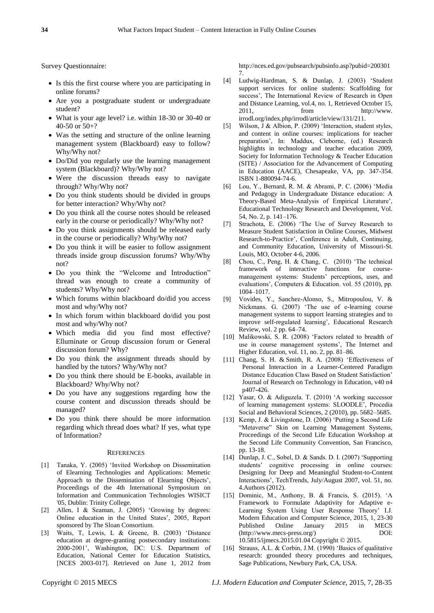Survey Questionnaire:

- Is this the first course where you are participating in online forums?
- Are you a postgraduate student or undergraduate student?
- What is your age level? i.e. within 18-30 or 30-40 or 40-50 or 50+?
- Was the setting and structure of the online learning management system (Blackboard) easy to follow? Why/Why not?
- Do/Did you regularly use the learning management system (Blackboard)? Why/Why not?
- Were the discussion threads easy to navigate through? Why/Why not?
- Do you think students should be divided in groups for better interaction? Why/Why not?
- Do you think all the course notes should be released early in the course or periodically? Why/Why not?
- Do you think assignments should be released early in the course or periodically? Why/Why not?
- Do you think it will be easier to follow assignment threads inside group discussion forums? Why/Why not?
- Do you think the "Welcome and Introduction" thread was enough to create a community of students? Why/Why not?
- Which forums within blackboard do/did you access most and why/Why not?
- In which forum within blackboard do/did you post most and why/Why not?
- Which media did you find most effective? Elluminate or Group discussion forum or General discussion forum? Why?
- Do you think the assignment threads should by handled by the tutors? Why/Why not?
- Do you think there should be E-books, available in Blackboard? Why/Why not?
- Do you have any suggestions regarding how the course content and discussion threads should be managed?
- Do you think there should be more information regarding which thread does what? If yes, what type of Information?

#### **REFERENCES**

- [1] Tanaka, Y. (2005) 'Invited Workshop on Dissemination of Elearning Technologies and Applications: Memetic Approach to the Dissemination of Elearning Objects', Proceedings of the 4th International Symposium on Information and Communication Technologies WISICT '05, Dublin: Trinity College.
- [2] Allen, I & Seaman, J. (2005) 'Growing by degrees: Online education in the United States', 2005, Report sponsored by The Sloan Consortium.
- [3] Waits, T, Lewis, L & Greene, B. (2003) 'Distance education at degree-granting postsecondary institutions: 2000-2001', Washington, DC: U.S. Department of Education, National Center for Education Statistics, [NCES 2003-017]. Retrieved on June 1, 2012 from

[http://nces.ed.gov/pubsearch/pubsinfo.asp?pubid=200301](http://nces.ed.gov/pubsearch/pubsinfo.asp?pubid=2003017) [7.](http://nces.ed.gov/pubsearch/pubsinfo.asp?pubid=2003017)

- [4] Ludwig-Hardman, S. & Dunlap, J. (2003) 'Student support services for online students: Scaffolding for success', The International Review of Research in Open and Distance Learning, vol.4, no. 1, Retrieved October 15, 2011, from http://www. irrodl.org/index.php/irrodl/article/view/131/211.
- [5] Wilson, J & Albion, P. (2009) 'Interaction, student styles, and content in online courses: implications for teacher preparation', In: Maddux, Cleborne, (ed.) Research highlights in technology and teacher education 2009, Society for Information Technology & Teacher Education (SITE) / Association for the Advancement of Computing in Education (AACE), Chesapeake, VA, pp. 347-354. ISBN 1-880094-74-6.
- [6] Lou, Y., Bernard, R. M. & Abrami, P. C. (2006) ‗Media and Pedagogy in Undergraduate Distance education: A Theory-Based Meta-Analysis of Empirical Literature', Educational Technology Research and Development, Vol. 54, No. 2, p. 141–176.
- [7] Strachota, E. (2006) 'The Use of Survey Research to Measure Student Satisfaction in Online Courses, Midwest Research-to-Practice', Conference in Adult, Continuing, and Community Education, University of Missouri-St. Louis, MO, October 4-6, 2006.
- [8] Chou, C., Peng, H. & Chang, C. (2010) 'The technical framework of interactive functions for coursemanagement systems: Students' perceptions, uses, and evaluations', Computers & Education. vol. 55 (2010), pp. 1004–1017.
- [9] Vovides, Y., Sanchez-Alonso, S., Mitropoulou, V. & Nickmans. G. (2007) 'The use of e-learning course management systems to support learning strategies and to improve self-regulated learning', Educational Research Review, vol. 2 pp. 64–74.
- [10] Malikowski, S. R. (2008) 'Factors related to breadth of use in course management systems', The Internet and Higher Education, vol. 11, no. 2, pp. 81–86.
- [11] [Chang, S. H.](http://www.eric.ed.gov/ERICWebPortal/search/simpleSearch.jsp?_pageLabel=ERICSearchResult&_urlType=action&newSearch=true&ERICExtSearch_SearchType_0=au&ERICExtSearch_SearchValue_0=%22Chang+Shu-Hui+Hsieh%22) & [Smith, R. A.](http://www.eric.ed.gov/ERICWebPortal/search/simpleSearch.jsp?_pageLabel=ERICSearchResult&_urlType=action&newSearch=true&ERICExtSearch_SearchType_0=au&ERICExtSearch_SearchValue_0=%22Smith+Roger+A.%22)  $(2008)$  'Effectiveness of Personal Interaction in a Learner-Centered Paradigm Distance Education Class Based on Student Satisfaction' Journal of Research on Technology in Education, v40 n4 p407-426.
- [12] Yasar, O. & Adiguzela. T. (2010) 'A working successor of learning management systems: SLOODLE', Procedia Social and Behavioral Sciences, 2 (2010), pp. 5682–5685.
- [13] Kemp, J. & Livingstone, D. (2006) 'Putting a Second Life "Metaverse" Skin on Learning Management Systems, Proceedings of the Second Life Education Workshop at the Second Life Community Convention, San Francisco, pp. 13-18.
- [14] Dunlap, J. C., Sobel, D. & Sands. D. I. (2007) 'Supporting students' cognitive processing in online courses: Designing for Deep and Meaningful Student-to-Content Interactions', TechTrends, July/August 2007, vol. 51, no. 4.Authors (2012).
- [15] Dominic, M., Anthony, B. & Francis, S. (2015). ‗A Framework to Formulate Adaptivity for Adaptive e-Learning System Using User Response Theory' I.J. Modern Education and Computer Science, 2015, 1, 23-30 Published Online January 2015 in MECS (http://www.mecs-press.org/) DOI: 10.5815/ijmecs.2015.01.04 Copyright © 2015.
- [16] Strauss, A.L. & Corbin, J.M. (1990) 'Basics of qualitative research: grounded theory procedures and techniques, Sage Publications, Newbury Park, CA, USA.